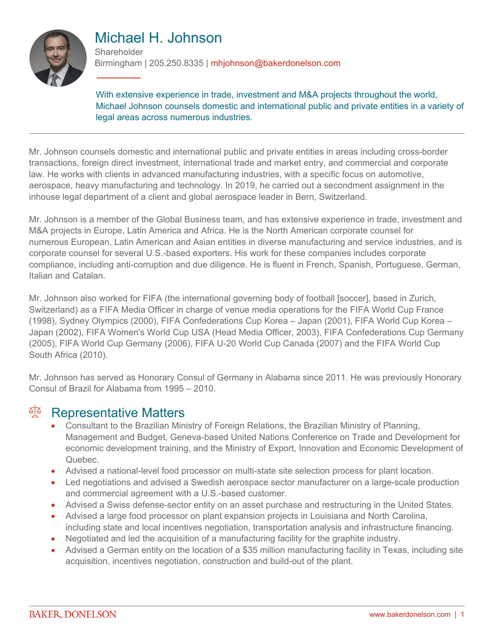

# Michael H. Johnson

**Shareholder** 

Birmingham | 205.250.8335 | mhjohnson@bakerdonelson.com

With extensive experience in trade, investment and M&A projects throughout the world, Michael Johnson counsels domestic and international public and private entities in a variety of legal areas across numerous industries.

Mr. Johnson counsels domestic and international public and private entities in areas including cross-border transactions, foreign direct investment, international trade and market entry, and commercial and corporate law. He works with clients in advanced manufacturing industries, with a specific focus on automotive, aerospace, heavy manufacturing and technology. In 2019, he carried out a secondment assignment in the inhouse legal department of a client and global aerospace leader in Bern, Switzerland.

Mr. Johnson is a member of the Global Business team, and has extensive experience in trade, investment and M&A projects in Europe, Latin America and Africa. He is the North American corporate counsel for numerous European, Latin American and Asian entities in diverse manufacturing and service industries, and is corporate counsel for several U.S.-based exporters. His work for these companies includes corporate compliance, including anti-corruption and due diligence. He is fluent in French, Spanish, Portuguese, German, Italian and Catalan.

Mr. Johnson also worked for FIFA (the international governing body of football [soccer], based in Zurich, Switzerland) as a FIFA Media Officer in charge of venue media operations for the FIFA World Cup France (1998), Sydney Olympics (2000), FIFA Confederations Cup Korea – Japan (2001), FIFA World Cup Korea – Japan (2002), FIFA Women's World Cup USA (Head Media Officer, 2003), FIFA Confederations Cup Germany (2005), FIFA World Cup Germany (2006), FIFA U-20 World Cup Canada (2007) and the FIFA World Cup South Africa (2010).

Mr. Johnson has served as Honorary Consul of Germany in Alabama since 2011. He was previously Honorary Consul of Brazil for Alabama from 1995 – 2010.

### <sup>A</sup> Representative Matters

- Consultant to the Brazilian Ministry of Foreign Relations, the Brazilian Ministry of Planning, Management and Budget, Geneva-based United Nations Conference on Trade and Development for economic development training, and the Ministry of Export, Innovation and Economic Development of Quebec.
- Advised a national-level food processor on multi-state site selection process for plant location.
- Led negotiations and advised a Swedish aerospace sector manufacturer on a large-scale production and commercial agreement with a U.S.-based customer.
- Advised a Swiss defense-sector entity on an asset purchase and restructuring in the United States.
- Advised a large food processor on plant expansion projects in Louisiana and North Carolina, including state and local incentives negotiation, transportation analysis and infrastructure financing.
- Negotiated and led the acquisition of a manufacturing facility for the graphite industry.
- Advised a German entity on the location of a \$35 million manufacturing facility in Texas, including site acquisition, incentives negotiation, construction and build-out of the plant.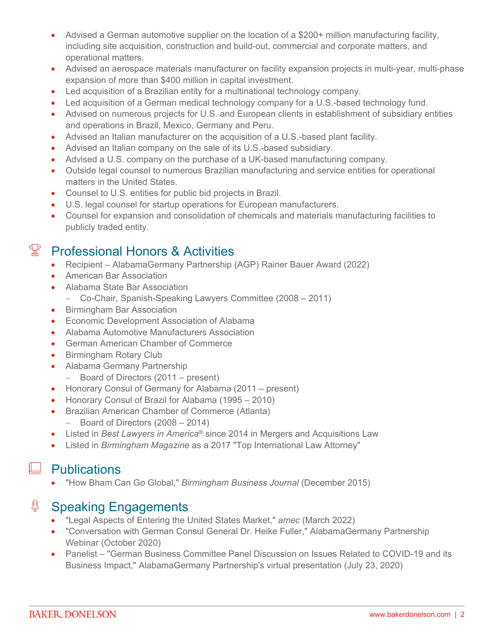- Advised a German automotive supplier on the location of a \$200+ million manufacturing facility, including site acquisition, construction and build-out, commercial and corporate matters, and operational matters.
- Advised an aerospace materials manufacturer on facility expansion projects in multi-year, multi-phase expansion of more than \$400 million in capital investment.
- Led acquisition of a Brazilian entity for a multinational technology company.
- Led acquisition of a German medical technology company for a U.S.-based technology fund.
- Advised on numerous projects for U.S. and European clients in establishment of subsidiary entities and operations in Brazil, Mexico, Germany and Peru.
- Advised an Italian manufacturer on the acquisition of a U.S.-based plant facility.
- Advised an Italian company on the sale of its U.S.-based subsidiary.
- Advised a U.S. company on the purchase of a UK-based manufacturing company.
- Outside legal counsel to numerous Brazilian manufacturing and service entities for operational matters in the United States.
- Counsel to U.S. entities for public bid projects in Brazil.
- U.S. legal counsel for startup operations for European manufacturers.
- Counsel for expansion and consolidation of chemicals and materials manufacturing facilities to publicly traded entity.

## $\mathbb{Y}$  Professional Honors & Activities

- Recipient AlabamaGermany Partnership (AGP) Rainer Bauer Award (2022)
- **•** American Bar Association
- Alabama State Bar Association
	- Co-Chair, Spanish-Speaking Lawyers Committee (2008 2011)
- Birmingham Bar Association
- **•** Economic Development Association of Alabama
- Alabama Automotive Manufacturers Association
- German American Chamber of Commerce
- Birmingham Rotary Club
- Alabama Germany Partnership
	- Board of Directors (2011 present)
- Honorary Consul of Germany for Alabama (2011 present)
- Honorary Consul of Brazil for Alabama (1995 2010)
- Brazilian American Chamber of Commerce (Atlanta)
	- $-$  Board of Directors (2008 2014)
- Listed in *Best Lawyers in America*® since 2014 in Mergers and Acquisitions Law
- Listed in *Birmingham Magazine* as a 2017 "Top International Law Attorney"

### $\Box$  Publications

"How Bham Can Go Global," *Birmingham Business Journal* (December 2015)

### € Speaking Engagements

- "Legal Aspects of Entering the United States Market," *amec* (March 2022)
- "Conversation with German Consul General Dr. Heike Fuller," AlabamaGermany Partnership Webinar (October 2020)
- Panelist "German Business Committee Panel Discussion on Issues Related to COVID-19 and its Business Impact," AlabamaGermany Partnership's virtual presentation (July 23, 2020)